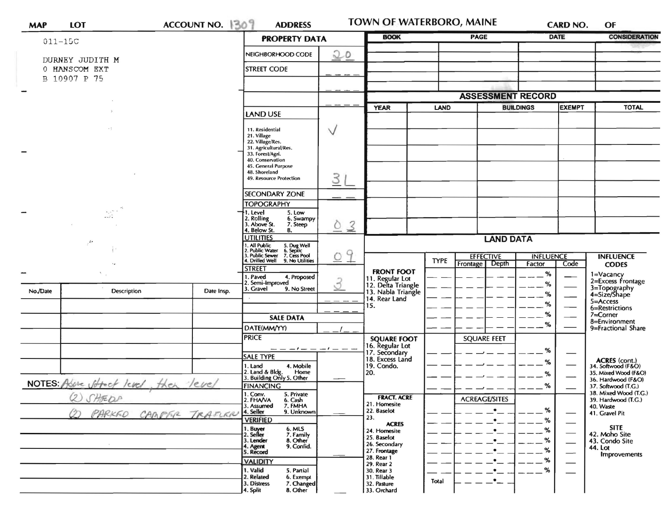| <b>MAP</b>                            | <b>LOT</b>                 | ACCOUNT NO. 309 | <b>ADDRESS</b>                                                                                                       |                             | TOWN OF WATERBORO, MAINE                                                            |             |                                      |             | CARD NO.                    | OF                                                 |
|---------------------------------------|----------------------------|-----------------|----------------------------------------------------------------------------------------------------------------------|-----------------------------|-------------------------------------------------------------------------------------|-------------|--------------------------------------|-------------|-----------------------------|----------------------------------------------------|
|                                       | $011 - 15C$                |                 | <b>PROPERTY DATA</b>                                                                                                 | <b>BOOK</b>                 |                                                                                     | <b>PAGE</b> |                                      | <b>DATE</b> | <b>CONSIDERATION</b>        |                                                    |
|                                       | DURNEY JUDITH M            |                 | NEIGHBORHOOD CODE                                                                                                    | 20                          |                                                                                     |             |                                      |             |                             |                                                    |
| 0 HANSCOM EXT<br>B 10907 P 75         |                            |                 | <b>STREET CODE</b>                                                                                                   |                             |                                                                                     |             |                                      |             |                             |                                                    |
|                                       |                            |                 |                                                                                                                      |                             |                                                                                     |             |                                      |             |                             |                                                    |
| $\overline{\phantom{a}}$              |                            |                 |                                                                                                                      |                             |                                                                                     |             | <b>ASSESSMENT RECORD</b>             |             |                             |                                                    |
|                                       |                            |                 | LAND USE                                                                                                             |                             | <b>YEAR</b><br><b>LAND</b>                                                          |             | <b>BUILDINGS</b>                     |             | <b>EXEMPT</b>               | <b>TOTAL</b>                                       |
|                                       |                            |                 | 11. Residential<br>21. Village<br>22. Village/Res.<br>31. Agricultural/Res.<br>33. Forest/Agri.                      | $\vee$                      |                                                                                     |             |                                      |             |                             |                                                    |
|                                       |                            |                 | 40. Conservation<br>45. General Purpose<br>48. Shoreland<br>49. Resource Protection                                  | $\mathcal{S}_{\mathcal{S}}$ |                                                                                     |             |                                      |             |                             |                                                    |
|                                       |                            |                 | <b>SECONDARY ZONE</b>                                                                                                |                             |                                                                                     |             |                                      |             |                             |                                                    |
|                                       | $\overline{\phantom{a}}$ . |                 | <b>TOPOGRAPHY</b><br>1. Level<br>5. Low<br>2. Rolling<br>3. Above St.<br>6. Swampy<br>7. Steep<br>4. Below St.<br>В. | $\overline{3}$<br>O         |                                                                                     |             |                                      |             |                             |                                                    |
|                                       | $\mathcal{L}^{\bullet}$    |                 | <b>UTILITIES</b>                                                                                                     |                             | <b>LAND DATA</b>                                                                    |             |                                      |             |                             |                                                    |
|                                       |                            |                 | All Public 5. Dug Well<br>Public Water 6. Septic<br>J. Public Sewer 7. Cess Pool<br>4. Drilled Well 9. No Utilities  | 9<br>$\cup$                 |                                                                                     | <b>TYPE</b> | <b>EFFECTIVE</b><br><b>INFLUENCE</b> |             |                             | <b>INFLUENCE</b>                                   |
|                                       |                            |                 | <b>STREET</b>                                                                                                        |                             | <b>FRONT FOOT</b>                                                                   |             | Depth<br>Frontage                    | Factor      | Code                        | <b>CODES</b>                                       |
|                                       |                            |                 | Paved<br>4. Proposed<br>Semi-Improved<br>3. Gravel<br>9. No Street                                                   |                             | 11. Regular Lot<br>12. Delta Triangle<br>13. Nabla Triangle<br>14. Rear Land<br>15. |             |                                      | %<br>%      |                             | 1=Vacancy<br>2=Excess Frontage                     |
| No./Date                              | Description                | Date Insp.      |                                                                                                                      |                             |                                                                                     |             |                                      | %<br>%      |                             | 3=Topography<br>4=Size/Shape<br>$5 =$ Access       |
|                                       |                            |                 | <b>SALE DATA</b>                                                                                                     |                             |                                                                                     |             |                                      | %           |                             | 6=Restrictions<br>$7 =$ Corner                     |
|                                       |                            |                 | DATE(MM/YY)                                                                                                          |                             |                                                                                     |             |                                      | %           |                             | 8=Environment<br>9=Fractional Share                |
|                                       |                            |                 | <b>PRICE</b>                                                                                                         |                             | <b>SQUARE FOOT</b>                                                                  |             | <b>SQUARE FEET</b>                   |             |                             |                                                    |
|                                       |                            |                 | ----------<br>SALE TYPE                                                                                              |                             | 16. Regular Lot<br>17. Secondary<br>18. Excess Land                                 |             |                                      | %           |                             |                                                    |
|                                       |                            |                 | 4. Mobile<br>1. Land                                                                                                 |                             | 19. Condo.                                                                          |             |                                      | %           |                             | ACRES (cont.)<br>34. Softwood (F&O)                |
| NOTES Above street level , then level |                            |                 | 2. Land & Bldg. Home<br>3. Building Only 5. Other<br>Home                                                            |                             | 20.                                                                                 |             |                                      | %           |                             | 35. Mixed Wood (F&O)<br>36. Hardwood (F&O)         |
|                                       |                            |                 | <b>FINANCING</b><br>5. Private                                                                                       |                             |                                                                                     |             |                                      | %           |                             | 37. Softwood (T.G.)<br>38. Mixed Wood (T.G.)       |
|                                       | (2) SHEDA<br>O)<br>PARKED  | CAMPER TRAFIER  | 1. Conv.<br>2. FHA/VA<br>6. Cash<br>3. Assumed<br>7. FMHA<br>4. Seller<br>9. Unknown                                 |                             | <b>FRACT. ACRE</b><br>21. Homesite<br>22. Baselot                                   |             | <b>ACREAGE/SITES</b>                 | %           |                             | 39. Hardwood (T.G.)<br>40. Waste<br>41. Gravel Pit |
|                                       |                            |                 | <b>VERIFIED</b>                                                                                                      |                             | 23.<br><b>ACRES</b>                                                                 |             |                                      | ℅           |                             |                                                    |
|                                       |                            |                 | 1. Buyer<br>2. Seller<br>6. MLS<br>7. Family                                                                         |                             | 24. Homesite<br>25. Baselot                                                         |             |                                      | %           |                             | <b>SITE</b><br>42. Moho Site                       |
|                                       |                            |                 | 3. Lender<br>8. Other<br>9. Confid.<br>4. Agent                                                                      |                             | 26. Secondary                                                                       |             |                                      | %<br>%      | $\overbrace{\hspace{15em}}$ | 43. Condo Site<br>44. Lot                          |
|                                       |                            |                 | 5. Record<br><b>VALIDITY</b>                                                                                         |                             | 27. Frontage<br>28. Rear 1                                                          |             |                                      | %           | $\overline{\phantom{0}}$    | Improvements                                       |
|                                       |                            |                 | 1. Valid<br>5. Partial                                                                                               |                             | 29. Rear 2<br>30. Rear 3                                                            |             |                                      | %           |                             |                                                    |
|                                       |                            |                 | 2. Related<br>6. Exempt<br>3. Distress<br>7. Changed<br>4. Split<br>8. Other                                         |                             | 31. Tillable<br>32. Pasture<br>33. Orchard                                          | Total       |                                      |             |                             |                                                    |